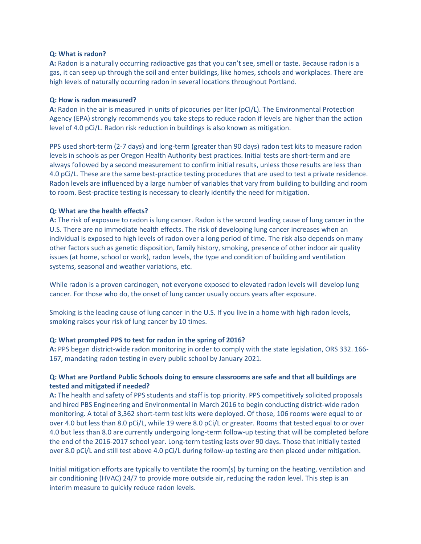#### **Q: What is radon?**

**A:** Radon is a naturally occurring radioactive gas that you can't see, smell or taste. Because radon is a gas, it can seep up through the soil and enter buildings, like homes, schools and workplaces. There are high levels of naturally occurring radon in several locations throughout Portland.

#### **Q: How is radon measured?**

**A:** Radon in the air is measured in units of picocuries per liter (pCi/L). The Environmental Protection Agency (EPA) strongly recommends you take steps to reduce radon if levels are higher than the action level of 4.0 pCi/L. Radon risk reduction in buildings is also known as mitigation.

PPS used short-term (2-7 days) and long-term (greater than 90 days) radon test kits to measure radon levels in schools as per Oregon Health Authority best practices. Initial tests are short-term and are always followed by a second measurement to confirm initial results, unless those results are less than 4.0 pCi/L. These are the same best-practice testing procedures that are used to test a private residence. Radon levels are influenced by a large number of variables that vary from building to building and room to room. Best-practice testing is necessary to clearly identify the need for mitigation.

### **Q: What are the health effects?**

**A:** The risk of exposure to radon is lung cancer. Radon is the second leading cause of lung cancer in the U.S. There are no immediate health effects. The risk of developing lung cancer increases when an individual is exposed to high levels of radon over a long period of time. The risk also depends on many other factors such as genetic disposition, family history, smoking, presence of other indoor air quality issues (at home, school or work), radon levels, the type and condition of building and ventilation systems, seasonal and weather variations, etc.

While radon is a proven carcinogen, not everyone exposed to elevated radon levels will develop lung cancer. For those who do, the onset of lung cancer usually occurs years after exposure.

Smoking is the leading cause of lung cancer in the U.S. If you live in a home with high radon levels, smoking raises your risk of lung cancer by 10 times.

### **Q: What prompted PPS to test for radon in the spring of 2016?**

**A:** PPS began district-wide radon monitoring in order to comply with the state legislation, ORS 332. 166- 167, mandating radon testing in every public school by January 2021.

## **Q: What are Portland Public Schools doing to ensure classrooms are safe and that all buildings are tested and mitigated if needed?**

**A:** The health and safety of PPS students and staff is top priority. PPS competitively solicited proposals and hired PBS Engineering and Environmental in March 2016 to begin conducting district-wide radon monitoring. A total of 3,362 short-term test kits were deployed. Of those, 106 rooms were equal to or over 4.0 but less than 8.0 pCi/L, while 19 were 8.0 pCi/L or greater. Rooms that tested equal to or over 4.0 but less than 8.0 are currently undergoing long-term follow-up testing that will be completed before the end of the 2016-2017 school year. Long-term testing lasts over 90 days. Those that initially tested over 8.0 pCi/L and still test above 4.0 pCi/L during follow-up testing are then placed under mitigation.

Initial mitigation efforts are typically to ventilate the room(s) by turning on the heating, ventilation and air conditioning (HVAC) 24/7 to provide more outside air, reducing the radon level. This step is an interim measure to quickly reduce radon levels.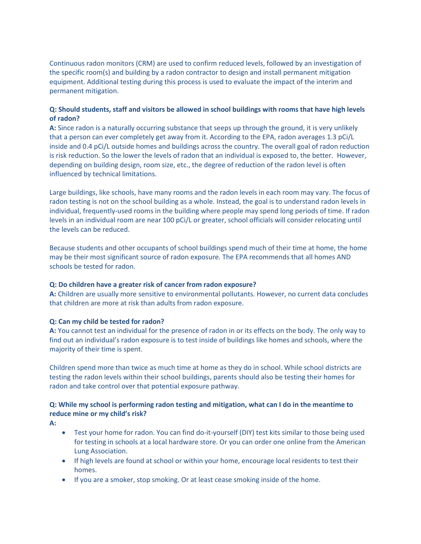Continuous radon monitors (CRM) are used to confirm reduced levels, followed by an investigation of the specific room(s) and building by a radon contractor to design and install permanent mitigation equipment. Additional testing during this process is used to evaluate the impact of the interim and permanent mitigation.

## **Q: Should students, staff and visitors be allowed in school buildings with rooms that have high levels of radon?**

**A:** Since radon is a naturally occurring substance that seeps up through the ground, it is very unlikely that a person can ever completely get away from it. According to the EPA, radon averages 1.3 pCi/L inside and 0.4 pCi/L outside homes and buildings across the country. The overall goal of radon reduction is risk reduction. So the lower the levels of radon that an individual is exposed to, the better. However, depending on building design, room size, etc., the degree of reduction of the radon level is often influenced by technical limitations.

Large buildings, like schools, have many rooms and the radon levels in each room may vary. The focus of radon testing is not on the school building as a whole. Instead, the goal is to understand radon levels in individual, frequently-used rooms in the building where people may spend long periods of time. If radon levels in an individual room are near 100 pCi/L or greater, school officials will consider relocating until the levels can be reduced.

Because students and other occupants of school buildings spend much of their time at home, the home may be their most significant source of radon exposure. The EPA recommends that all homes AND schools be tested for radon.

### **Q: Do children have a greater risk of cancer from radon exposure?**

**A:** Children are usually more sensitive to environmental pollutants. However, no current data concludes that children are more at risk than adults from radon exposure.

### **Q: Can my child be tested for radon?**

**A:** You cannot test an individual for the presence of radon in or its effects on the body. The only way to find out an individual's radon exposure is to test inside of buildings like homes and schools, where the majority of their time is spent.

Children spend more than twice as much time at home as they do in school. While school districts are testing the radon levels within their school buildings, parents should also be testing their homes for radon and take control over that potential exposure pathway.

# **Q: While my school is performing radon testing and mitigation, what can I do in the meantime to reduce mine or my child's risk?**

**A:**

- Test your home for radon. You can find do-it-yourself (DIY) test kits similar to those being used for testing in schools at a local hardware store. Or you can order one online from the American Lung Association.
- If high levels are found at school or within your home, encourage local residents to test their homes.
- If you are a smoker, stop smoking. Or at least cease smoking inside of the home.